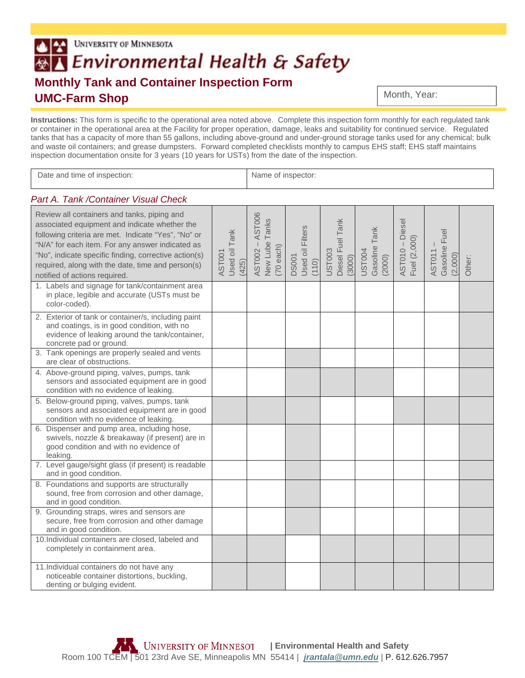## UNIVERSITY OF MINNESOTA BA Environmental Health & Safety **Monthly Tank and Container Inspection Form UMC-Farm Shop**

Month, Year:

**Instructions:** This form is specific to the operational area noted above. Complete this inspection form monthly for each regulated tank or container in the operational area at the Facility for proper operation, damage, leaks and suitability for continued service. Regulated tanks that has a capacity of more than 55 gallons, including above-ground and under-ground storage tanks used for any chemical; bulk and waste oil containers; and grease dumpsters. Forward completed checklists monthly to campus EHS staff; EHS staff maintains inspection documentation onsite for 3 years (10 years for USTs) from the date of the inspection.

| Date and time of inspection:                                                                                                                                                                                                                                                                                                                           |                                  |                                                             | Name of inspector:                        |                                      |                                   |                                 |                                           |        |  |
|--------------------------------------------------------------------------------------------------------------------------------------------------------------------------------------------------------------------------------------------------------------------------------------------------------------------------------------------------------|----------------------------------|-------------------------------------------------------------|-------------------------------------------|--------------------------------------|-----------------------------------|---------------------------------|-------------------------------------------|--------|--|
| Part A. Tank / Container Visual Check                                                                                                                                                                                                                                                                                                                  |                                  |                                                             |                                           |                                      |                                   |                                 |                                           |        |  |
| Review all containers and tanks, piping and<br>associated equipment and indicate whether the<br>following criteria are met. Indicate "Yes", "No" or<br>"N/A" for each item. For any answer indicated as<br>"No", indicate specific finding, corrective action(s)<br>required, along with the date, time and person(s)<br>notified of actions required. | Used oil Tank<br>AST001<br>(425) | AST006<br>Tanks<br>$AST002 -$<br>New Lube<br>$(70$ each $)$ | Used oil Filters<br><b>DS001</b><br>(110) | Diesel Fuel Tank<br>UST003<br>(3000) | Gasoline Tank<br>UST004<br>(2000) | AST010 - Diesel<br>Fuel (2,000) | Gasoline Fuel<br><b>AST011</b><br>(2,000) | Other: |  |
| 1. Labels and signage for tank/containment area<br>in place, legible and accurate (USTs must be<br>color-coded).                                                                                                                                                                                                                                       |                                  |                                                             |                                           |                                      |                                   |                                 |                                           |        |  |
| 2. Exterior of tank or container/s, including paint<br>and coatings, is in good condition, with no<br>evidence of leaking around the tank/container,<br>concrete pad or ground.                                                                                                                                                                        |                                  |                                                             |                                           |                                      |                                   |                                 |                                           |        |  |
| 3. Tank openings are properly sealed and vents<br>are clear of obstructions.                                                                                                                                                                                                                                                                           |                                  |                                                             |                                           |                                      |                                   |                                 |                                           |        |  |
| 4. Above-ground piping, valves, pumps, tank<br>sensors and associated equipment are in good<br>condition with no evidence of leaking.                                                                                                                                                                                                                  |                                  |                                                             |                                           |                                      |                                   |                                 |                                           |        |  |
| 5. Below-ground piping, valves, pumps, tank<br>sensors and associated equipment are in good<br>condition with no evidence of leaking.                                                                                                                                                                                                                  |                                  |                                                             |                                           |                                      |                                   |                                 |                                           |        |  |
| 6. Dispenser and pump area, including hose,<br>swivels, nozzle & breakaway (if present) are in<br>good condition and with no evidence of<br>leaking.                                                                                                                                                                                                   |                                  |                                                             |                                           |                                      |                                   |                                 |                                           |        |  |
| 7. Level gauge/sight glass (if present) is readable<br>and in good condition.                                                                                                                                                                                                                                                                          |                                  |                                                             |                                           |                                      |                                   |                                 |                                           |        |  |
| 8. Foundations and supports are structurally<br>sound, free from corrosion and other damage,<br>and in good condition.                                                                                                                                                                                                                                 |                                  |                                                             |                                           |                                      |                                   |                                 |                                           |        |  |
| 9. Grounding straps, wires and sensors are<br>secure, free from corrosion and other damage<br>and in good condition.                                                                                                                                                                                                                                   |                                  |                                                             |                                           |                                      |                                   |                                 |                                           |        |  |
| 10. Individual containers are closed, labeled and<br>completely in containment area.                                                                                                                                                                                                                                                                   |                                  |                                                             |                                           |                                      |                                   |                                 |                                           |        |  |
| 11. Individual containers do not have any<br>noticeable container distortions, buckling,<br>denting or bulging evident.                                                                                                                                                                                                                                |                                  |                                                             |                                           |                                      |                                   |                                 |                                           |        |  |